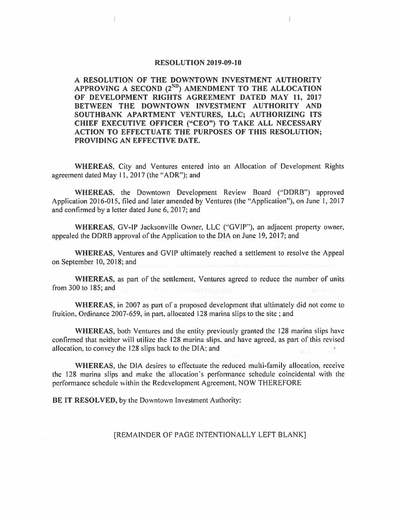## **RESOLUTION 2019-09-10**

**A RESOLUTION OF THE DOWNTOWN INVESTMENT AUTHORITY**  APPROVING A SECOND  $(2^{ND})$  AMENDMENT TO THE ALLOCATION **OF DEVELOPMENT RIGHTS AGREEMENT DATED MAY 11, 2017 BETWEEN THE DOWNTOWN INVESTMENT AUTHORITY AND SOUTHBANK APARTMENT VENTURES, LLC; AUTHORIZING ITS CHIEF EXECUTIVE OFFICER ("CEO") TO TAKE ALL NECESSARY ACTION TO EFFECTUATE THE PURPOSES OF THIS RESOLUTION; PROVIDING AN EFFECTIVE DATE.** 

**WHEREAS,** City and Ventures entered into an Allocation of Development Rights agreement dated May 11, 2017 (the" ADR"); and

**WHEREAS,** the Downtown Development Review Board (''DDRB") approved Application 2016-015, filed and later amended by Ventures (the "Application"), on June I, 2017 and confirmed by a letter dated June 6, 2017; and

**WHEREAS,** GV-IP Jacksonville Owner, LLC ("GVIP"), an adjacent property owner, appealed the DDRB approval of the Application to the DIA on June 19, 2017; and

**WHEREAS,** Ventures and GVIP ultimately reached a settlement to resolve the Appeal on September 10, 2018; and

**WHEREAS,** as part of the settlement, Ventures agreed to reduce the number of units from 300 to 185; and

**WHEREAS,** in 2007 as part of a proposed development that ultimately did not come to fruition. Ordinance 2007-659, in part. allocated 128 marina slips to the site; and

**WHEREAS,** both Ventures and the entity previously granted the 128 marina slips have confirmed that neither will utilize the 128 marina slips, and have agreed, as part of this revised allocation, lo convey the 128 slips back to the DIA; and

**WHEREAS,** the DIA desires to effectuate the reduced multi-family allocation, receive the 128 marina slips and make the allocation's performance schedule coincidental with the performance schedule within the Redevelopment Agreement, NOW THEREFORE

**BE IT RESOLVED,** by the Downtown Investment Authority:

## [REMAINDER OF PAGE INTENTIONALLY LEFT BLANK]